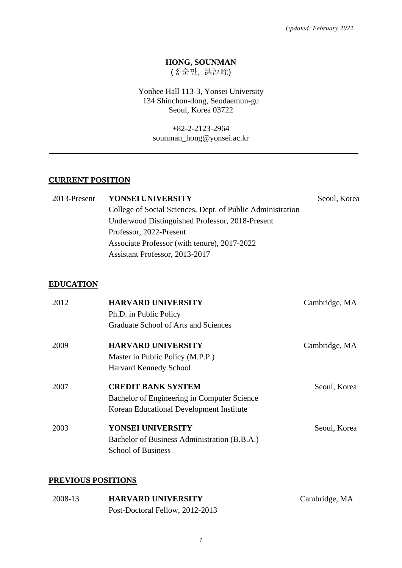### **HONG, SOUNMAN**

(홍순만, 洪淳晩)

Yonhee Hall 113-3, Yonsei University 134 Shinchon-dong, Seodaemun-gu Seoul, Korea 03722

> +82-2-2123-2964 sounman\_hong@yonsei.ac.kr

### **CURRENT POSITION**

| 2013-Present | <b>YONSEI UNIVERSITY</b>                                   | Seoul, Korea |
|--------------|------------------------------------------------------------|--------------|
|              | College of Social Sciences, Dept. of Public Administration |              |
|              | Underwood Distinguished Professor, 2018-Present            |              |
|              | Professor, 2022-Present                                    |              |
|              | Associate Professor (with tenure), 2017-2022               |              |
|              | Assistant Professor, 2013-2017                             |              |

### **EDUCATION**

| 2012 | <b>HARVARD UNIVERSITY</b>                    | Cambridge, MA |
|------|----------------------------------------------|---------------|
|      | Ph.D. in Public Policy                       |               |
|      | Graduate School of Arts and Sciences         |               |
| 2009 | <b>HARVARD UNIVERSITY</b>                    | Cambridge, MA |
|      | Master in Public Policy (M.P.P.)             |               |
|      | Harvard Kennedy School                       |               |
| 2007 | <b>CREDIT BANK SYSTEM</b>                    | Seoul, Korea  |
|      | Bachelor of Engineering in Computer Science  |               |
|      | Korean Educational Development Institute     |               |
| 2003 | YONSEI UNIVERSITY                            | Seoul, Korea  |
|      | Bachelor of Business Administration (B.B.A.) |               |
|      | <b>School of Business</b>                    |               |

### **PREVIOUS POSITIONS**

| 2008-13 | <b>HARVARD UNIVERSITY</b>       | Cambridge, MA |
|---------|---------------------------------|---------------|
|         | Post-Doctoral Fellow, 2012-2013 |               |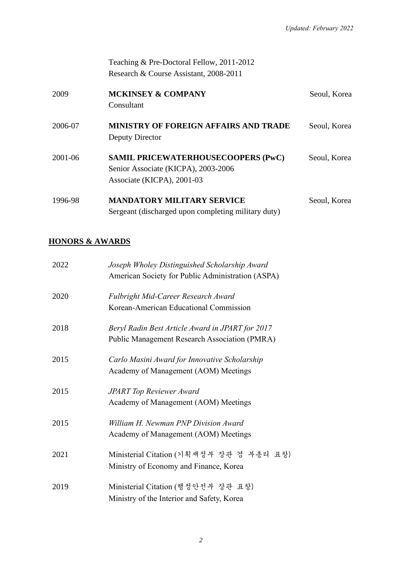Teaching & Pre-Doctoral Fellow, 2011-2012 Research & Course Assistant, 2008-2011

| 2009    | <b>MCKINSEY &amp; COMPANY</b><br>Consultant                                                                    | Seoul, Korea |
|---------|----------------------------------------------------------------------------------------------------------------|--------------|
| 2006-07 | <b>MINISTRY OF FOREIGN AFFAIRS AND TRADE</b><br>Deputy Director                                                | Seoul, Korea |
| 2001-06 | <b>SAMIL PRICEWATERHOUSECOOPERS (PwC)</b><br>Senior Associate (KICPA), 2003-2006<br>Associate (KICPA), 2001-03 | Seoul, Korea |
| 1996-98 | <b>MANDATORY MILITARY SERVICE</b><br>Sergeant (discharged upon completing military duty)                       | Seoul, Korea |

# **HONORS & AWARDS**

| 2022 | Joseph Wholey Distinguished Scholarship Award<br>American Society for Public Administration (ASPA) |
|------|----------------------------------------------------------------------------------------------------|
| 2020 | Fulbright Mid-Career Research Award                                                                |
|      | Korean-American Educational Commission                                                             |
| 2018 | Beryl Radin Best Article Award in JPART for 2017                                                   |
|      | Public Management Research Association (PMRA)                                                      |
| 2015 | Carlo Masini Award for Innovative Scholarship                                                      |
|      | Academy of Management (AOM) Meetings                                                               |
| 2015 | <b>JPART Top Reviewer Award</b>                                                                    |
|      | Academy of Management (AOM) Meetings                                                               |
| 2015 | William H. Newman PNP Division Award                                                               |
|      | Academy of Management (AOM) Meetings                                                               |
| 2021 | Ministerial Citation (기획재정부 장관 겸 부총리 표창)                                                           |
|      | Ministry of Economy and Finance, Korea                                                             |
| 2019 | Ministerial Citation (행정안전부 장관 표창)                                                                 |
|      | Ministry of the Interior and Safety, Korea                                                         |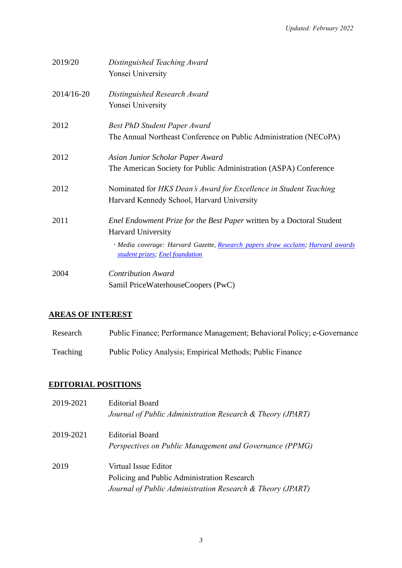| 2019/20    | Distinguished Teaching Award<br>Yonsei University                                                                                                                                                                 |
|------------|-------------------------------------------------------------------------------------------------------------------------------------------------------------------------------------------------------------------|
| 2014/16-20 | Distinguished Research Award<br>Yonsei University                                                                                                                                                                 |
| 2012       | <b>Best PhD Student Paper Award</b><br>The Annual Northeast Conference on Public Administration (NECoPA)                                                                                                          |
| 2012       | Asian Junior Scholar Paper Award<br>The American Society for Public Administration (ASPA) Conference                                                                                                              |
| 2012       | Nominated for HKS Dean's Award for Excellence in Student Teaching<br>Harvard Kennedy School, Harvard University                                                                                                   |
| 2011       | Enel Endowment Prize for the Best Paper written by a Doctoral Student<br>Harvard University<br>· Media coverage: Harvard Gazette, Research papers draw acclaim; Harvard awards<br>student prizes; Enel foundation |
| 2004       | <b>Contribution Award</b><br>Samil PriceWaterhouseCoopers (PwC)                                                                                                                                                   |

# **AREAS OF INTEREST**

| Research | Public Finance; Performance Management; Behavioral Policy; e-Governance |
|----------|-------------------------------------------------------------------------|
| Teaching | Public Policy Analysis; Empirical Methods; Public Finance               |

### **EDITORIAL POSITIONS**

| 2019-2021 | <b>Editorial Board</b><br>Journal of Public Administration Research & Theory (JPART)                                              |
|-----------|-----------------------------------------------------------------------------------------------------------------------------------|
| 2019-2021 | <b>Editorial Board</b><br>Perspectives on Public Management and Governance (PPMG)                                                 |
| 2019      | Virtual Issue Editor<br>Policing and Public Administration Research<br>Journal of Public Administration Research & Theory (JPART) |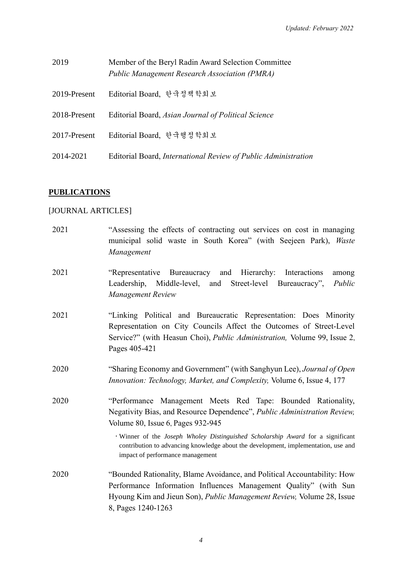| 2019         | Member of the Beryl Radin Award Selection Committee<br><b>Public Management Research Association (PMRA)</b> |
|--------------|-------------------------------------------------------------------------------------------------------------|
| 2019-Present | Editorial Board, 한국정책학회보                                                                                    |
| 2018-Present | Editorial Board, Asian Journal of Political Science                                                         |
| 2017-Present | Editorial Board, 한국행정학회보                                                                                    |
| 2014-2021    | Editorial Board, International Review of Public Administration                                              |

# **PUBLICATIONS**

# [JOURNAL ARTICLES]

| 2021 | "Assessing the effects of contracting out services on cost in managing<br>municipal solid waste in South Korea" (with Seejeen Park), Waste<br>Management                                                                                                                                                                                                                                 |
|------|------------------------------------------------------------------------------------------------------------------------------------------------------------------------------------------------------------------------------------------------------------------------------------------------------------------------------------------------------------------------------------------|
| 2021 | "Representative Bureaucracy and Hierarchy: Interactions<br>among<br>Leadership, Middle-level, and Street-level Bureaucracy",<br>Public<br>Management Review                                                                                                                                                                                                                              |
| 2021 | "Linking Political and Bureaucratic Representation: Does Minority<br>Representation on City Councils Affect the Outcomes of Street-Level<br>Service?" (with Heasun Choi), Public Administration, Volume 99, Issue 2,<br>Pages 405-421                                                                                                                                                    |
| 2020 | "Sharing Economy and Government" (with Sanghyun Lee), Journal of Open<br>Innovation: Technology, Market, and Complexity, Volume 6, Issue 4, 177                                                                                                                                                                                                                                          |
| 2020 | "Performance Management Meets Red Tape: Bounded Rationality,<br>Negativity Bias, and Resource Dependence", Public Administration Review,<br>Volume 80, Issue 6, Pages 932-945<br>Winner of the Joseph Wholey Distinguished Scholarship Award for a significant<br>contribution to advancing knowledge about the development, implementation, use and<br>impact of performance management |
| 2020 | "Bounded Rationality, Blame Avoidance, and Political Accountability: How<br>Performance Information Influences Management Quality" (with Sun<br>Hyoung Kim and Jieun Son), Public Management Review, Volume 28, Issue<br>8, Pages 1240-1263                                                                                                                                              |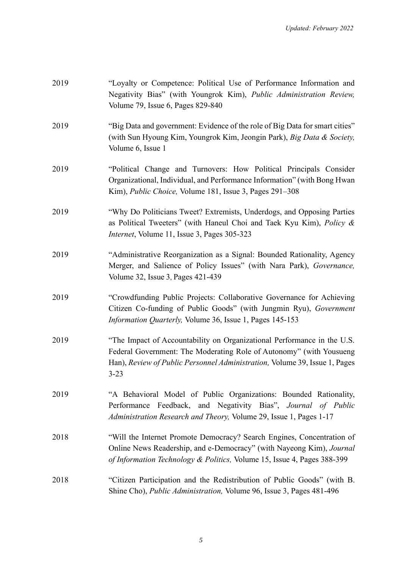| 2019 | "Loyalty or Competence: Political Use of Performance Information and<br>Negativity Bias" (with Youngrok Kim), Public Administration Review,<br>Volume 79, Issue 6, Pages 829-840                                                         |
|------|------------------------------------------------------------------------------------------------------------------------------------------------------------------------------------------------------------------------------------------|
| 2019 | "Big Data and government: Evidence of the role of Big Data for smart cities"<br>(with Sun Hyoung Kim, Youngrok Kim, Jeongin Park), Big Data & Society,<br>Volume 6, Issue 1                                                              |
| 2019 | "Political Change and Turnovers: How Political Principals Consider<br>Organizational, Individual, and Performance Information" (with Bong Hwan<br>Kim), Public Choice, Volume 181, Issue 3, Pages 291–308                                |
| 2019 | "Why Do Politicians Tweet? Extremists, Underdogs, and Opposing Parties<br>as Political Tweeters" (with Haneul Choi and Taek Kyu Kim), Policy &<br><i>Internet</i> , Volume 11, Issue 3, Pages 305-323                                    |
| 2019 | "Administrative Reorganization as a Signal: Bounded Rationality, Agency<br>Merger, and Salience of Policy Issues" (with Nara Park), Governance,<br>Volume 32, Issue 3, Pages 421-439                                                     |
| 2019 | "Crowdfunding Public Projects: Collaborative Governance for Achieving<br>Citizen Co-funding of Public Goods" (with Jungmin Ryu), Government<br>Information Quarterly, Volume 36, Issue 1, Pages 145-153                                  |
| 2019 | "The Impact of Accountability on Organizational Performance in the U.S.<br>Federal Government: The Moderating Role of Autonomy" (with Yousueng<br>Han), Review of Public Personnel Administration, Volume 39, Issue 1, Pages<br>$3 - 23$ |
| 2019 | "A Behavioral Model of Public Organizations: Bounded Rationality,<br>Performance Feedback, and Negativity Bias", Journal of Public<br>Administration Research and Theory, Volume 29, Issue 1, Pages 1-17                                 |
| 2018 | "Will the Internet Promote Democracy? Search Engines, Concentration of<br>Online News Readership, and e-Democracy" (with Nayeong Kim), Journal<br>of Information Technology & Politics, Volume 15, Issue 4, Pages 388-399                |
| 2018 | "Citizen Participation and the Redistribution of Public Goods" (with B.<br>Shine Cho), <i>Public Administration</i> , Volume 96, Issue 3, Pages 481-496                                                                                  |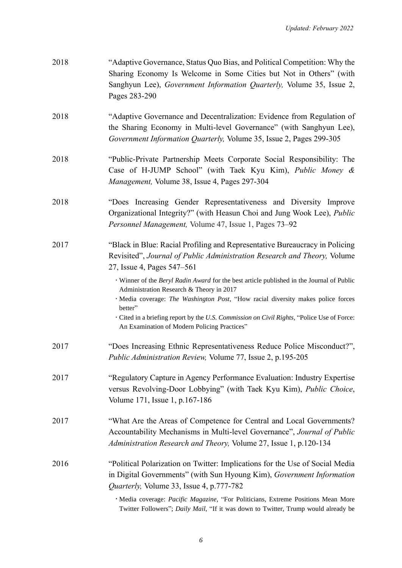| 2018 | "Adaptive Governance, Status Quo Bias, and Political Competition: Why the<br>Sharing Economy Is Welcome in Some Cities but Not in Others" (with<br>Sanghyun Lee), Government Information Quarterly, Volume 35, Issue 2,<br>Pages 283-290                                                                                                                                                                                                                                                                                                                                    |
|------|-----------------------------------------------------------------------------------------------------------------------------------------------------------------------------------------------------------------------------------------------------------------------------------------------------------------------------------------------------------------------------------------------------------------------------------------------------------------------------------------------------------------------------------------------------------------------------|
| 2018 | "Adaptive Governance and Decentralization: Evidence from Regulation of<br>the Sharing Economy in Multi-level Governance" (with Sanghyun Lee),<br>Government Information Quarterly, Volume 35, Issue 2, Pages 299-305                                                                                                                                                                                                                                                                                                                                                        |
| 2018 | "Public-Private Partnership Meets Corporate Social Responsibility: The<br>Case of H-JUMP School" (with Taek Kyu Kim), Public Money &<br>Management, Volume 38, Issue 4, Pages 297-304                                                                                                                                                                                                                                                                                                                                                                                       |
| 2018 | "Does Increasing Gender Representativeness and Diversity Improve<br>Organizational Integrity?" (with Heasun Choi and Jung Wook Lee), Public<br>Personnel Management, Volume 47, Issue 1, Pages 73-92                                                                                                                                                                                                                                                                                                                                                                        |
| 2017 | "Black in Blue: Racial Profiling and Representative Bureaucracy in Policing<br>Revisited", Journal of Public Administration Research and Theory, Volume<br>27, Issue 4, Pages 547–561<br>· Winner of the Beryl Radin Award for the best article published in the Journal of Public<br>Administration Research & Theory in 2017<br>· Media coverage: The Washington Post, "How racial diversity makes police forces<br>better"<br>· Cited in a briefing report by the U.S. Commission on Civil Rights, "Police Use of Force:<br>An Examination of Modern Policing Practices" |
| 2017 | "Does Increasing Ethnic Representativeness Reduce Police Misconduct?",<br>Public Administration Review, Volume 77, Issue 2, p.195-205                                                                                                                                                                                                                                                                                                                                                                                                                                       |
| 2017 | "Regulatory Capture in Agency Performance Evaluation: Industry Expertise<br>versus Revolving-Door Lobbying" (with Taek Kyu Kim), Public Choice,<br>Volume 171, Issue 1, p.167-186                                                                                                                                                                                                                                                                                                                                                                                           |
| 2017 | "What Are the Areas of Competence for Central and Local Governments?<br>Accountability Mechanisms in Multi-level Governance", Journal of Public<br>Administration Research and Theory, Volume 27, Issue 1, p.120-134                                                                                                                                                                                                                                                                                                                                                        |
| 2016 | "Political Polarization on Twitter: Implications for the Use of Social Media<br>in Digital Governments" (with Sun Hyoung Kim), Government Information<br>Quarterly, Volume 33, Issue 4, p.777-782                                                                                                                                                                                                                                                                                                                                                                           |
|      | · Media coverage: Pacific Magazine, "For Politicians, Extreme Positions Mean More<br>Twitter Followers"; Daily Mail, "If it was down to Twitter, Trump would already be                                                                                                                                                                                                                                                                                                                                                                                                     |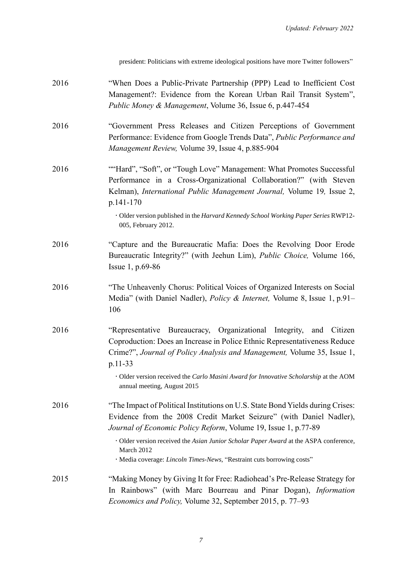[president: Politicians with extreme ideological positions have more Twitter followers"](http://www.dailymail.co.uk/sciencetech/article-3608359/Trump-president-decided-Twitter-number-Twitter-followers.html)

| 2016 | "When Does a Public-Private Partnership (PPP) Lead to Inefficient Cost<br>Management?: Evidence from the Korean Urban Rail Transit System",<br>Public Money & Management, Volume 36, Issue 6, p.447-454                                                                                                                                                                                                  |
|------|----------------------------------------------------------------------------------------------------------------------------------------------------------------------------------------------------------------------------------------------------------------------------------------------------------------------------------------------------------------------------------------------------------|
| 2016 | "Government Press Releases and Citizen Perceptions of Government<br>Performance: Evidence from Google Trends Data", Public Performance and<br>Management Review, Volume 39, Issue 4, p.885-904                                                                                                                                                                                                           |
| 2016 | "Hard", "Soft", or "Tough Love" Management: What Promotes Successful<br>Performance in a Cross-Organizational Collaboration?" (with Steven<br>Kelman), International Public Management Journal, Volume 19, Issue 2,<br>p.141-170<br>· Older version published in the Harvard Kennedy School Working Paper Series RWP12-<br>005, February 2012.                                                           |
| 2016 | "Capture and the Bureaucratic Mafia: Does the Revolving Door Erode<br>Bureaucratic Integrity?" (with Jeehun Lim), Public Choice, Volume 166,<br>Issue 1, p.69-86                                                                                                                                                                                                                                         |
| 2016 | "The Unheavenly Chorus: Political Voices of Organized Interests on Social<br>Media" (with Daniel Nadler), <i>Policy &amp; Internet</i> , Volume 8, Issue 1, p.91–<br>106                                                                                                                                                                                                                                 |
| 2016 | "Representative Bureaucracy, Organizational Integrity, and Citizen<br>Coproduction: Does an Increase in Police Ethnic Representativeness Reduce<br>Crime?", Journal of Policy Analysis and Management, Volume 35, Issue 1,<br>p.11-33<br>· Older version received the Carlo Masini Award for Innovative Scholarship at the AOM<br>annual meeting, August 2015                                            |
| 2016 | "The Impact of Political Institutions on U.S. State Bond Yields during Crises:<br>Evidence from the 2008 Credit Market Seizure" (with Daniel Nadler),<br>Journal of Economic Policy Reform, Volume 19, Issue 1, p.77-89<br>· Older version received the Asian Junior Scholar Paper Award at the ASPA conference,<br>March 2012<br>· Media coverage: Lincoln Times-News, "Restraint cuts borrowing costs" |
| 2015 | "Making Money by Giving It for Free: Radiohead's Pre-Release Strategy for<br>In Rainbows" (with Marc Bourreau and Pinar Dogan), <i>Information</i><br><i>Economics and Policy</i> , Volume 32, September 2015, p. 77–93                                                                                                                                                                                  |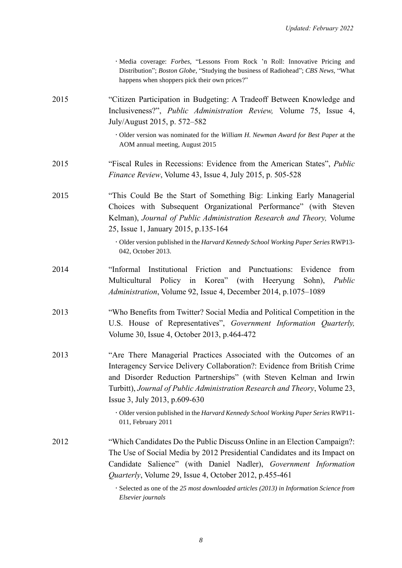|      | · Media coverage: Forbes, "Lessons From Rock 'n Roll: Innovative Pricing and<br>Distribution"; Boston Globe, "Studying the business of Radiohead"; CBS News, "What<br>happens when shoppers pick their own prices?"                                                                                                                                                                                                        |
|------|----------------------------------------------------------------------------------------------------------------------------------------------------------------------------------------------------------------------------------------------------------------------------------------------------------------------------------------------------------------------------------------------------------------------------|
| 2015 | "Citizen Participation in Budgeting: A Tradeoff Between Knowledge and<br>Inclusiveness?", <i>Public Administration Review</i> , Volume 75, Issue 4,<br>July/August 2015, p. 572-582                                                                                                                                                                                                                                        |
|      | · Older version was nominated for the William H. Newman Award for Best Paper at the<br>AOM annual meeting, August 2015                                                                                                                                                                                                                                                                                                     |
| 2015 | "Fiscal Rules in Recessions: Evidence from the American States", Public<br><i>Finance Review</i> , Volume 43, Issue 4, July 2015, p. 505-528                                                                                                                                                                                                                                                                               |
| 2015 | "This Could Be the Start of Something Big: Linking Early Managerial<br>Choices with Subsequent Organizational Performance" (with Steven<br>Kelman), Journal of Public Administration Research and Theory, Volume<br>25, Issue 1, January 2015, p.135-164                                                                                                                                                                   |
|      | · Older version published in the Harvard Kennedy School Working Paper Series RWP13-<br>042, October 2013.                                                                                                                                                                                                                                                                                                                  |
| 2014 | Institutional Friction and Punctuations:<br>"Informal<br>Evidence<br>from<br>Multicultural Policy in Korea" (with Heeryung<br>Public<br>Sohn),<br><i>Administration</i> , Volume 92, Issue 4, December 2014, p.1075–1089                                                                                                                                                                                                   |
| 2013 | "Who Benefits from Twitter? Social Media and Political Competition in the<br>U.S. House of Representatives", Government Information Quarterly,<br>Volume 30, Issue 4, October 2013, p.464-472                                                                                                                                                                                                                              |
| 2013 | "Are There Managerial Practices Associated with the Outcomes of an<br>Interagency Service Delivery Collaboration?: Evidence from British Crime<br>and Disorder Reduction Partnerships" (with Steven Kelman and Irwin<br>Turbitt), Journal of Public Administration Research and Theory, Volume 23,<br>Issue 3, July 2013, p.609-630<br>· Older version published in the Harvard Kennedy School Working Paper Series RWP11- |
|      | 011, February 2011                                                                                                                                                                                                                                                                                                                                                                                                         |
| 2012 | "Which Candidates Do the Public Discuss Online in an Election Campaign?:<br>The Use of Social Media by 2012 Presidential Candidates and its Impact on                                                                                                                                                                                                                                                                      |
|      | Candidate Salience" (with Daniel Nadler), Government Information                                                                                                                                                                                                                                                                                                                                                           |
|      | <i>Quarterly</i> , Volume 29, Issue 4, October 2012, p.455-461                                                                                                                                                                                                                                                                                                                                                             |
|      | · Selected as one of the 25 most downloaded articles (2013) in Information Science from<br>Elsevier journals                                                                                                                                                                                                                                                                                                               |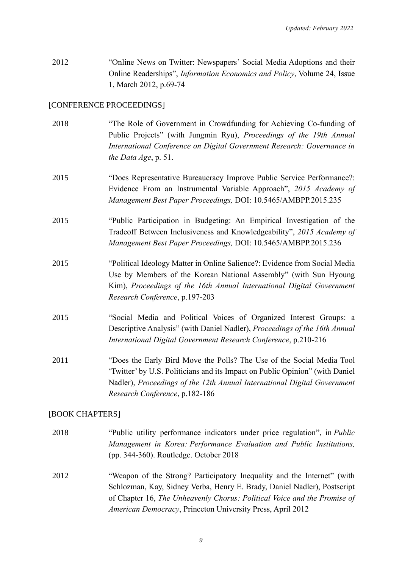2012 "Online News on Twitter: Newspapers' Social Media Adoptions and their Online Readerships", *Information Economics and Policy*, Volume 24, Issue 1, March 2012, p.69-74

### [CONFERENCE PROCEEDINGS]

2018 "The Role of Government in Crowdfunding for Achieving Co-funding of Public Projects" (with Jungmin Ryu), *Proceedings of the 19th Annual International Conference on Digital Government Research: Governance in the Data Age*, p. 51. 2015 "Does Representative Bureaucracy Improve Public Service Performance?: Evidence From an Instrumental Variable Approach", *2015 Academy of Management Best Paper Proceedings,* DOI: 10.5465/AMBPP.2015.235 2015 "Public Participation in Budgeting: An Empirical Investigation of the Tradeoff Between Inclusiveness and Knowledgeability", *2015 Academy of Management Best Paper Proceedings,* DOI: 10.5465/AMBPP.2015.236 2015 "Political Ideology Matter in Online Salience?: Evidence from Social Media Use by Members of the Korean National Assembly" (with Sun Hyoung Kim), *Proceedings of the 16th Annual International Digital Government Research Conference*, p.197-203 2015 "Social Media and Political Voices of Organized Interest Groups: a Descriptive Analysis" (with Daniel Nadler), *Proceedings of the 16th Annual International Digital Government Research Conference*, p.210-216 2011 "Does the Early Bird Move the Polls? The Use of the Social Media Tool 'Twitter' by U.S. Politicians and its Impact on Public Opinion" (with Daniel Nadler), *Proceedings of the 12th Annual International Digital Government Research Conference*, p.182-186

### [BOOK CHAPTERS]

- 2018 "Public utility performance indicators under price regulation", in *Public Management in Korea: Performance Evaluation and Public Institutions,*  (pp. 344-360). Routledge. October 2018
- 2012 "Weapon of the Strong? Participatory Inequality and the Internet" (with Schlozman, Kay, Sidney Verba, Henry E. Brady, Daniel Nadler), Postscript of Chapter 16, *The Unheavenly Chorus: Political Voice and the Promise of American Democracy*, Princeton University Press, April 2012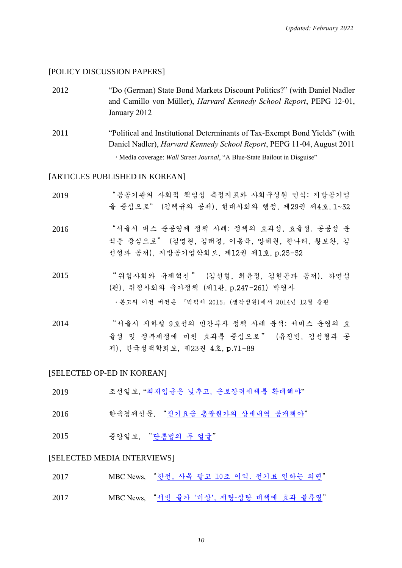#### [POLICY DISCUSSION PAPERS]

- 2012 "Do (German) State Bond Markets Discount Politics?" (with Daniel Nadler and Camillo von Müller), *Harvard Kennedy School Report*, PEPG 12-01, January 2012
- 2011 "Political and Institutional Determinants of Tax-Exempt Bond Yields" (with Daniel Nadler), *Harvard Kennedy School Report*, PEPG 11-04, August 2011 Media coverage: *[Wall Street Journal](http://online.wsj.com/article/SB10001424053111904353504576568352231645730.html?mod=WSJ_hps_sections_opinion#articleTabs%3Darticle)*, "A Blue-State Bailout in Disguise"

### [ARTICLES PUBLISHED IN KOREAN]

| 2019 | "공공기관의 사회적 책임성 측정지표와 사회구성원 인식: 지방공기업<br>을 중심으로" (김택규와 공저), 현대사회와 행정, 제29권 제4호,1~32                                           |
|------|------------------------------------------------------------------------------------------------------------------------------|
| 2016 | "서울시 버스 준공영제 정책 사례: 정책의 효과성, 효율성, 공공성 분<br>석을 중심으로" (김영현, 김태경, 이동욱, 양혜원, 한나리, 황보환, 김<br>선형과 공저), 지방공기업학회보, 제12권 제1호, p.25-52 |
| 2015 | "위험사회와 규제혁신" (김선형, 최윤정, 김현곤과 공저). 하연섭<br>(편), 위험사회와 국가정책 (제1판, p.247-261) 박영사<br>ㆍ본고의 이전 버전은 「빅픽처 2015」(생각정원)에서 2014년 12월 출판 |

2014 "서울시 지하철 9호선의 민간투자 정책 사례 분석: 서비스 운영의 효 율성 및 정부재정에 미친 효과를 중심으로 " (유진빈, 김선형과 공 저), 한국정책학회보, 제23권 4호, p.71-89

### [SELECTED OP-ED IN KOREAN]

| 2019 |  |  |  | 조선일보, "최저임금은 낮추고, 근로장려세제를 확대해야" |  |
|------|--|--|--|---------------------------------|--|
|------|--|--|--|---------------------------------|--|

- 2016 한국경제신문, "전기요금 [총괄원가의](http://www.hankyung.com/news/app/newsview.php?aid=2016100222041) 상세내역 공개해야"
- 2015 중앙일보, "[단통법의](http://news.joins.com/article/19122295) 두 얼굴"

#### [SELECTED MEDIA INTERVIEWS]

| 2017 | MBC News, "한전, 사옥 팔고 10조 이익. 전기료 인하는 외면" |
|------|------------------------------------------|
| 2017 | MBC News, "서민 물가 '비상', 재탕·삼탕 대책에 효과 불투명" |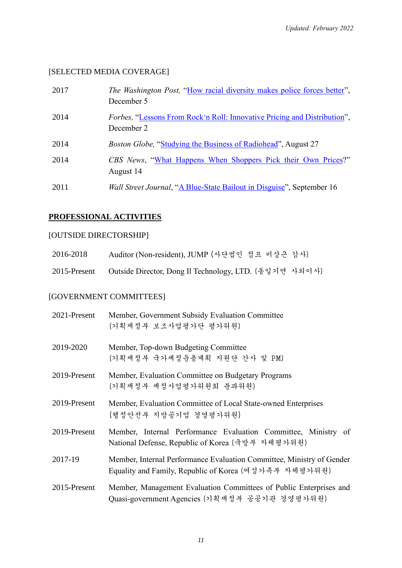# [SELECTED MEDIA COVERAGE]

| 2017 | <i>The Washington Post,</i> "How racial diversity makes police forces better",<br>December 5  |
|------|-----------------------------------------------------------------------------------------------|
| 2014 | <i>Forbes,</i> "Lessons From Rock'n Roll: Innovative Pricing and Distribution",<br>December 2 |
| 2014 | <i>Boston Globe,</i> "Studying the Business of Radiohead", August 27                          |
| 2014 | CBS News, "What Happens When Shoppers Pick their Own Prices?"<br>August 14                    |
| 2011 | Wall Street Journal, "A Blue-State Bailout in Disguise", September 16                         |

### **PROFESSIONAL ACTIVITIES**

# [OUTSIDE DIRECTORSHIP]

| 2016-2018    | Auditor (Non-resident), JUMP (사단법인 점프 비상근 감사)          |
|--------------|--------------------------------------------------------|
| 2015-Present | Outside Director, Dong Il Technology, LTD. (동일기연 사외이사) |

# [GOVERNMENT COMMITTEES]

| 2021-Present | Member, Government Subsidy Evaluation Committee<br>(기획재정부 보조사업평가단 평가위원)                                                        |
|--------------|--------------------------------------------------------------------------------------------------------------------------------|
| 2019-2020    | Member, Top-down Budgeting Committee<br>(기획재정부 국가재정운용계획 지원단 간사 및 PM)                                                           |
| 2019-Present | Member, Evaluation Committee on Budgetary Programs<br>(기획재정부 재정사업평가위원회 분과위원)                                                   |
| 2019-Present | Member, Evaluation Committee of Local State-owned Enterprises<br>(행정안전부 지방공기업 경영평가위원)                                          |
| 2019-Present | Member, Internal Performance Evaluation Committee, Ministry of<br>National Defense, Republic of Korea (국방부 자체평가위원)             |
| 2017-19      | Member, Internal Performance Evaluation Committee, Ministry of Gender<br>Equality and Family, Republic of Korea (여성가족부 자체평가위원) |
| 2015-Present | Member, Management Evaluation Committees of Public Enterprises and<br>Quasi-government Agencies (기획재정부 공공기관 경영평가위원)            |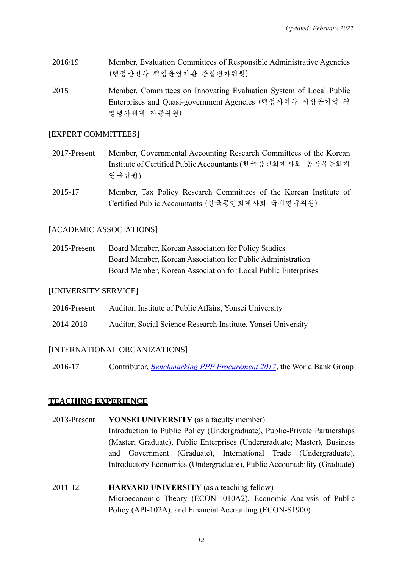- 2016/19 Member, Evaluation Committees of Responsible Administrative Agencies (행정안전부 책임운영기관 종합평가위원)
- 2015 Member, Committees on Innovating Evaluation System of Local Public Enterprises and Quasi-government Agencies (행정자치부 지방공기업 경 영평가체계 자문위원)

### [EXPERT COMMITTEES]

- 2017-Present Member, Governmental Accounting Research Committees of the Korean Institute of Certified Public Accountants (한국공인회계사회 공공부문회계 연구위원)
- 2015-17 Member, Tax Policy Research Committees of the Korean Institute of Certified Public Accountants (한국공인회계사회 국세연구위원)

### [ACADEMIC ASSOCIATIONS]

2015-Present Board Member, Korean Association for Policy Studies Board Member, Korean Association for Public Administration Board Member, Korean Association for Local Public Enterprises

### [UNIVERSITY SERVICE]

- 2016-Present Auditor, Institute of Public Affairs, Yonsei University
- 2014-2018 Auditor, Social Science Research Institute, Yonsei University

### [INTERNATIONAL ORGANIZATIONS]

2016-17 Contributor, *[Benchmarking PPP Procurement 2017](http://bpp.worldbank.org/)*, the World Bank Group

### **TEACHING EXPERIENCE**

- 2013-Present **YONSEI UNIVERSITY** (as a faculty member) Introduction to Public Policy (Undergraduate), Public-Private Partnerships (Master; Graduate), Public Enterprises (Undergraduate; Master), Business and Government (Graduate), International Trade (Undergraduate), Introductory Economics (Undergraduate), Public Accountability (Graduate)
- 2011-12 **HARVARD UNIVERSITY** (as a teaching fellow) Microeconomic Theory (ECON-1010A2), Economic Analysis of Public Policy (API-102A), and Financial Accounting (ECON-S1900)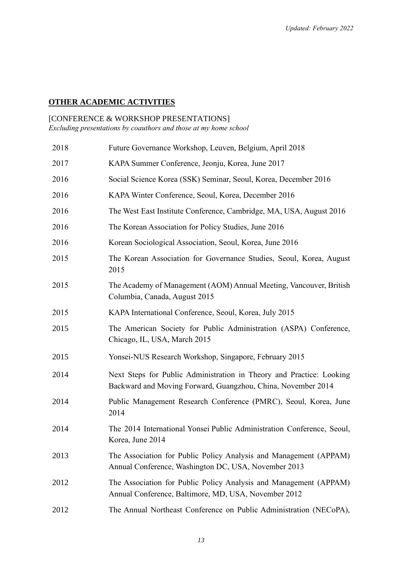# **OTHER ACADEMIC ACTIVITIES**

### [CONFERENCE & WORKSHOP PRESENTATIONS]

*Excluding presentations by coauthors and those at my home school*

| 2018 | Future Governance Workshop, Leuven, Belgium, April 2018                                                                              |
|------|--------------------------------------------------------------------------------------------------------------------------------------|
| 2017 | KAPA Summer Conference, Jeonju, Korea, June 2017                                                                                     |
| 2016 | Social Science Korea (SSK) Seminar, Seoul, Korea, December 2016                                                                      |
| 2016 | KAPA Winter Conference, Seoul, Korea, December 2016                                                                                  |
| 2016 | The West East Institute Conference, Cambridge, MA, USA, August 2016                                                                  |
| 2016 | The Korean Association for Policy Studies, June 2016                                                                                 |
| 2016 | Korean Sociological Association, Seoul, Korea, June 2016                                                                             |
| 2015 | The Korean Association for Governance Studies, Seoul, Korea, August<br>2015                                                          |
| 2015 | The Academy of Management (AOM) Annual Meeting, Vancouver, British<br>Columbia, Canada, August 2015                                  |
| 2015 | KAPA International Conference, Seoul, Korea, July 2015                                                                               |
| 2015 | The American Society for Public Administration (ASPA) Conference,<br>Chicago, IL, USA, March 2015                                    |
| 2015 | Yonsei-NUS Research Workshop, Singapore, February 2015                                                                               |
| 2014 | Next Steps for Public Administration in Theory and Practice: Looking<br>Backward and Moving Forward, Guangzhou, China, November 2014 |
| 2014 | Public Management Research Conference (PMRC), Seoul, Korea, June<br>2014                                                             |
| 2014 | The 2014 International Yonsei Public Administration Conference, Seoul,<br>Korea, June 2014                                           |
| 2013 | The Association for Public Policy Analysis and Management (APPAM)<br>Annual Conference, Washington DC, USA, November 2013            |
| 2012 | The Association for Public Policy Analysis and Management (APPAM)<br>Annual Conference, Baltimore, MD, USA, November 2012            |
| 2012 | The Annual Northeast Conference on Public Administration (NECoPA),                                                                   |